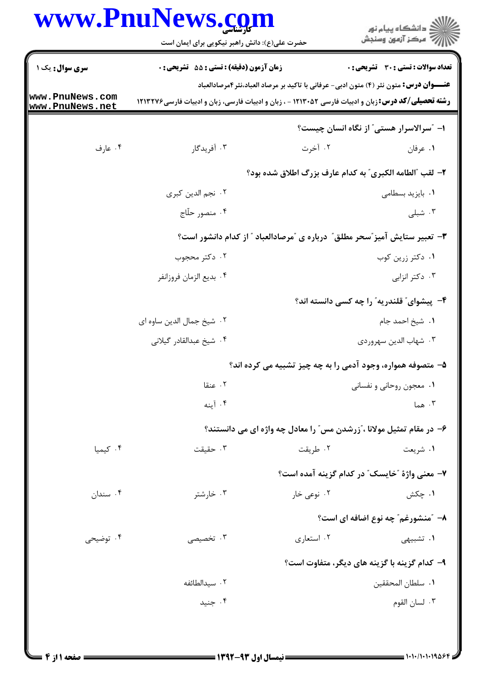| حضرت علی(ع): دانش راهبر نیکویی برای ایمان است<br><b>زمان آزمون (دقیقه) : تستی : 55 تشریحی : 0</b> |                                                                                                                                                                                                              | ر<br>دانشڪاه پيام نور<br>ا∛ مرڪز آزمون وسنڊش<br>تعداد سوالات : تستى : 30 قشريحى : 0                                                                                                                                                   |  |
|---------------------------------------------------------------------------------------------------|--------------------------------------------------------------------------------------------------------------------------------------------------------------------------------------------------------------|---------------------------------------------------------------------------------------------------------------------------------------------------------------------------------------------------------------------------------------|--|
|                                                                                                   |                                                                                                                                                                                                              |                                                                                                                                                                                                                                       |  |
|                                                                                                   |                                                                                                                                                                                                              |                                                                                                                                                                                                                                       |  |
|                                                                                                   | <b>عنــــوان درس:</b> متون نثر (۴) متون ادبی- عرفانی با تاکید بر مرصاد العباد،نثر ۴مرصادالعباد<br><b>رشته تحصیلی/کد درس:</b> زبان و ادبیات فارسی ۱۲۱۳۰۵۲ - ، زبان و ادبیات فارسی، زبان و ادبیات فارسی۱۲۱۳۲۷۶ |                                                                                                                                                                                                                                       |  |
|                                                                                                   |                                                                                                                                                                                                              | ۱– "سرالاسرار هستی" از نگاه انسان چیست؟                                                                                                                                                                                               |  |
| ۰۳ آفریدگار                                                                                       | ۰۲ آخرت                                                                                                                                                                                                      | ۰۱ عرفان                                                                                                                                                                                                                              |  |
| ۲- لقب "الطامه الكبرى" به كدام عارف بزرگ اطلاق شده بود؟                                           |                                                                                                                                                                                                              |                                                                                                                                                                                                                                       |  |
| ٢. نجم الدين كبرى                                                                                 |                                                                                                                                                                                                              | ٠١. بايزيد بسطامى                                                                                                                                                                                                                     |  |
| ۰۴ منصور حلّاج                                                                                    |                                                                                                                                                                                                              | ۰۳ شبلی                                                                                                                                                                                                                               |  |
| ۳- تعبیر ستایش آمیز ؒسحر مطلق ؒ درباره ی ؒمرصادالعباد ؒ از کدام دانشور است؟                       |                                                                                                                                                                                                              |                                                                                                                                                                                                                                       |  |
| ۰۲ دکتر محجوب                                                                                     |                                                                                                                                                                                                              | ۰۱ دکتر زرین کوب                                                                                                                                                                                                                      |  |
| ۰۴ بديع الزمان فروزانفر                                                                           |                                                                                                                                                                                                              | ۰۳ دکتر انزابی                                                                                                                                                                                                                        |  |
|                                                                                                   |                                                                                                                                                                                                              | ۴- پیشوای ؒ قلندریه ؒ را چه کسی دانسته اند؟                                                                                                                                                                                           |  |
| ٢. شيخ جمال الدين ساوه اي                                                                         |                                                                                                                                                                                                              | ۰۱ شیخ احمد جام                                                                                                                                                                                                                       |  |
| ۰۴ شیخ عبدالقادر گیلانی                                                                           |                                                                                                                                                                                                              | ۰۳ شهاب الدين سهروردي                                                                                                                                                                                                                 |  |
|                                                                                                   |                                                                                                                                                                                                              |                                                                                                                                                                                                                                       |  |
| ۰۲ عنقا                                                                                           |                                                                                                                                                                                                              | ۰۱ معجون روحانی و نفسانی                                                                                                                                                                                                              |  |
| ۰۴ آينه                                                                                           |                                                                                                                                                                                                              | ۰۳ هما                                                                                                                                                                                                                                |  |
|                                                                                                   |                                                                                                                                                                                                              |                                                                                                                                                                                                                                       |  |
| ۰۳ حقیقت                                                                                          | ۰۲ طريقت                                                                                                                                                                                                     | ۱. شریعت                                                                                                                                                                                                                              |  |
|                                                                                                   |                                                                                                                                                                                                              |                                                                                                                                                                                                                                       |  |
| ۰۳ خارشتر                                                                                         | ۰۲ نوعی خار                                                                                                                                                                                                  | ۰۱ چکش                                                                                                                                                                                                                                |  |
|                                                                                                   |                                                                                                                                                                                                              | ۸– ″منشورغم″ چه نوع اضافه ای است؟                                                                                                                                                                                                     |  |
| ۰۳ تخصیصی                                                                                         | ۰۲ استعاري                                                                                                                                                                                                   | <b>۱.</b> تشبیهی                                                                                                                                                                                                                      |  |
|                                                                                                   |                                                                                                                                                                                                              |                                                                                                                                                                                                                                       |  |
| ۰۲ سیدالطائفه                                                                                     |                                                                                                                                                                                                              | ٠١. سلطان المحققين                                                                                                                                                                                                                    |  |
| ۰۴ جنيد                                                                                           |                                                                                                                                                                                                              | ۰۳ لسان القوم                                                                                                                                                                                                                         |  |
|                                                                                                   |                                                                                                                                                                                                              | ۵- متصوفه همواره، وجود آدمی را به چه چیز تشبیه می کرده اند؟<br>۶– در مقام تمثیل مولانا ، ّزرشدن مس ّ را معادل چه واژه ای می دانستند؟<br>٧- معنى واژهٔ "خايسک" در کدام گزينه آمده است؟<br>۹- کدام گزینه با گزینه های دیگر، متفاوت است؟ |  |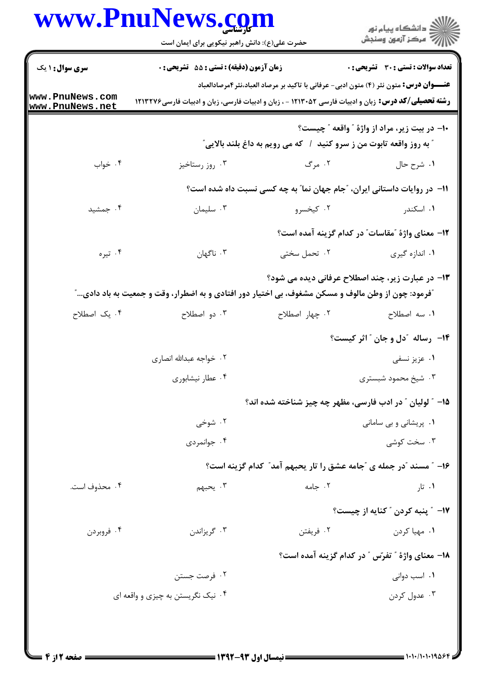|                                    | حضرت علی(ع): دانش راهبر نیکویی برای ایمان است                                                                                                                                                                |                                                                             | ِ دانشڪاه پيا <sub>م</sub> نور<br>/∕ مرڪز آزمون وسنڊش    |  |
|------------------------------------|--------------------------------------------------------------------------------------------------------------------------------------------------------------------------------------------------------------|-----------------------------------------------------------------------------|----------------------------------------------------------|--|
| <b>سری سوال : ۱ یک</b>             | <b>زمان آزمون (دقیقه) : تستی : 55 تشریحی : 0</b>                                                                                                                                                             |                                                                             | <b>تعداد سوالات : تستي : 30 ٪ تشريحي : 0</b>             |  |
| www.PnuNews.com<br>www.PnuNews.net | <b>عنــــوان درس:</b> متون نثر (۴) متون ادبی- عرفانی با تاکید بر مرصاد العباد،نثر ۴مرصادالعباد<br><b>رشته تحصیلی/کد درس:</b> زبان و ادبیات فارسی ۱۲۱۳۰۵۲ - ، زبان و ادبیات فارسی، زبان و ادبیات فارسی۱۲۱۳۲۷۶ |                                                                             |                                                          |  |
|                                    |                                                                                                                                                                                                              | <b>" به روز واقعه تابوت من ز سرو کنید ( که می رویم به داغ بلند بالایی ؒ</b> | +١- در بيت زير، مراد از واژهٔ " واقعه " چيست؟            |  |
| ۰۴ خواب                            | ۰۳ روز رستاخیز                                                                                                                                                                                               | ۲. مرگ                                                                      | ١. شرح حال                                               |  |
|                                    |                                                                                                                                                                                                              | 1۱– در روایات داستانی ایران، "جام جهان نما" به چه کسی نسبت داه شده است؟     |                                                          |  |
| ۰۴ جمشید                           | ۰۳ سلیمان                                                                                                                                                                                                    | ۰۲ کیخسرو                                                                   | ۰۱ اسکندر                                                |  |
|                                    |                                                                                                                                                                                                              |                                                                             | <b>۱۲</b> - معنای واژهٔ ″مقاسات″ در کدام گزینه آمده است؟ |  |
| ۰۴ تیره                            | ۰۳ ناگهان                                                                                                                                                                                                    | ۰۲ تحمل سختی                                                                | ۰۱ اندازه گیری                                           |  |
|                                    | آفرمود: چون از وطن مالوف و مسکن مشغوف، بی اختیار دور افتادی و به اضطرار، وقت و جمعیت به باد دادی…آ                                                                                                           |                                                                             | ۱۳- در عبارت زیر، چند اصطلاح عرفانی دیده می شود؟         |  |
| ۰۴ یک اصطلاح                       | ۰۳ دو اصطلاح                                                                                                                                                                                                 | ٠٢ چهار اصطلاح                                                              | ۰۱ سه اصطلاح                                             |  |
|                                    |                                                                                                                                                                                                              |                                                                             | <b>۱۴</b> رساله آدل و جان آ اثر کیست؟                    |  |
|                                    | ۰۲ خواجه عبدالله انصارى                                                                                                                                                                                      |                                                                             | ۰۱ عزیز نسفی                                             |  |
|                                    | ۰۴ عطار نیشابوری                                                                                                                                                                                             | ۰۳ شیخ محمود شبستری                                                         |                                                          |  |
|                                    |                                                                                                                                                                                                              | ۰۱۵ ″ لولیان ″ در ادب فارسی، مظهر چه چیز شناخته شده اند؟                    |                                                          |  |
|                                    | ۰۲ شوخی                                                                                                                                                                                                      |                                                                             | ۰۱ پریشانی و بی سامانی                                   |  |
|                                    | ۰۴ جوانمردی                                                                                                                                                                                                  |                                                                             | ۰۳ سخت کوشی                                              |  |
|                                    |                                                                                                                                                                                                              | ۱۶– " مسند "در جمله ی "جامه عشق را تار یحبهم آمد" کدام گزینه است؟           |                                                          |  |
| ۰۴ محذوف است.                      | ۰۳ يحبهم                                                                                                                                                                                                     | ۰۲ جامه                                                                     | ۰۱ تار                                                   |  |
|                                    |                                                                                                                                                                                                              |                                                                             | <b>۱۷</b> - ″ پنبه کردن ″ کنایه از چیست؟                 |  |
| ۰۴ فروبردن                         | ۰۳ گريزاندن                                                                                                                                                                                                  | ۰۲ فريفتن                                                                   | ۰۱ مهيا کردن                                             |  |
|                                    |                                                                                                                                                                                                              |                                                                             | 1۸– معنای واژهٔ " تفرّس " در کدام گزینه آمده است؟        |  |
|                                    | ۰۲ فرصت جستن                                                                                                                                                                                                 |                                                                             | ۰۱ اسب دوانی                                             |  |
|                                    | ۰۴ نیک نگریستن به چیزی و واقعه ای                                                                                                                                                                            |                                                                             | ۰۳ عدول کردن                                             |  |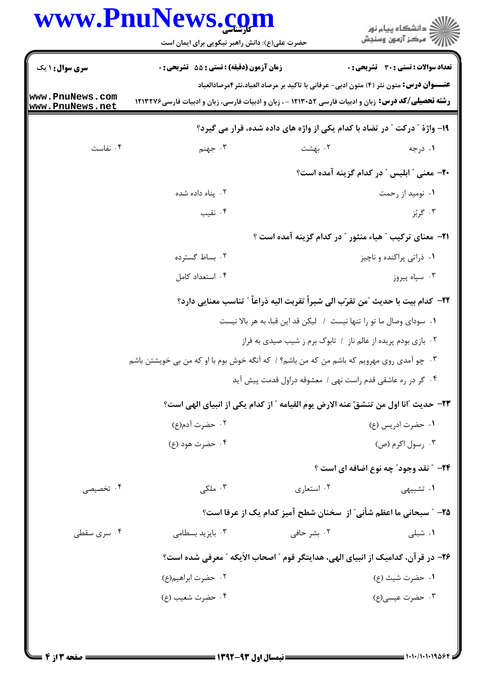| ڪ دانشڪاه پيام نور<br>//> مرڪز آزمون وسنڊش                                                        |             | حضرت علی(ع): دانش راهبر نیکویی برای ایمان است                                                              |                                    |
|---------------------------------------------------------------------------------------------------|-------------|------------------------------------------------------------------------------------------------------------|------------------------------------|
| تعداد سوالات : تستى : 30 قشريحى : 0                                                               |             | زمان آزمون (دقيقه) : تستى : 55 تشريحى : 0                                                                  | <b>سری سوال : ۱ یک</b>             |
| <del>عنــــوان درس:</del> متون نثر (۴) متون ادبی- عرفانی با تاکید بر مرصاد العباد،نثر۴مرصادالعباد |             | <b>رشته تحصیلی/کد درس:</b> زبان و ادبیات فارسی ۱۲۱۳۰۵۲ - ، زبان و ادبیات فارسی، زبان و ادبیات فارسی۱۲۱۳۲۷۶ | www.PnuNews.com<br>www.PnuNews.net |
| ۱۹- واژهٔ ″ درکت ″ در تضاد با کدام یکی از واژه های داده شده، قرار می گیرد؟                        |             |                                                                                                            |                                    |
| ۰۱ درجه                                                                                           | ۰۲ بهشت     | ۰۳ جهنم                                                                                                    | ۰۴ نفاست                           |
| <b>+۲-</b> معنی " ابلیس " در کدام گزینه آمده است؟                                                 |             |                                                                                                            |                                    |
| ۰۱ نومید از رحمت                                                                                  |             | ۰۲ پناه داده شده                                                                                           |                                    |
| ۰۳ گرېٌز                                                                                          |             | ۰۴ نقیب                                                                                                    |                                    |
| <b>۲۱</b> - معنای ترکیب "هباء منثور " در کدام گزینه آمده است ؟                                    |             |                                                                                                            |                                    |
| ٠١ ذراتي پراکنده و ناچيز                                                                          |             | ۰۲ بساط گسترده                                                                                             |                                    |
| ۰۳ سپاه پیروز                                                                                     |             | ۰۴ استعداد کامل                                                                                            |                                    |
| ٢٢–  كدام بيت با حديث ″من تقرّب الى شبراً تقربت اليه ذراعاً ″ تناسب معنايي دارد؟                  |             |                                                                                                            |                                    |
| ١. سوداي وصال ما تو را تنها نيست ١. ليكن قد اين قبا، به هر بالا نيست                              |             |                                                                                                            |                                    |
| ۰۲ بازی بودم پریده از عالم ناز / تابوک برم ز شیب صیدی به فراز                                     |             |                                                                                                            |                                    |
|                                                                                                   |             | ۰۳ چو آمدی روی مهرویم که باشم من که من باشم؟ / که آنگه خوش بوم با او که من بی خویشتن باشم                  |                                    |
| ۰۴ گر در ره عاشقی قدم راست نهی / معشوقه دراول قدمت پیش آید                                        |             |                                                                                                            |                                    |
| ٢٣- حديث "انا اول من تنشقّ عنه الارض يوم القيامه " از كدام يكي از انبياي الهي است؟                |             |                                                                                                            |                                    |
| ۰۱ حضرت ادریس (ع)                                                                                 |             | ٢.  حضرت آدم(ع)                                                                                            |                                    |
| ۰۳ رسول اکرم (ص)                                                                                  |             | ۰۴ حضرت هود (ع)                                                                                            |                                    |
| <b>34-</b> ″ نقد وجود″ چه نوع اضافه ای است ؟                                                      |             |                                                                                                            |                                    |
| ۰۱ تشبیهی                                                                                         | ۰۲ استعاری  | ۰۳ ملکی                                                                                                    | ۰۴ تخصیصی                          |
| ۲۵- ″ سبحانی ما اعظم شأنی″ از ۖ سخنان شطح آمیز کدام یک از عرفا است؟                               |             |                                                                                                            |                                    |
| ۰۱ شبلی                                                                                           | ۰۲ بشر حافی | ۰۳ بایزید بسطامی                                                                                           | ۰۴ سری سقطی                        |
| ۲۶– در قر آن، کدامیک از انبیای الهی، هدایتگر قوم ″ اصحاب الأیکه ″ معرفی شده است؟                  |             |                                                                                                            |                                    |
| ۰۱ حضرت شیث (ع)                                                                                   |             | ۰۲ حضرت ابراهیم(ع)                                                                                         |                                    |
| ۰۳ حضرت عیسی(ع)                                                                                   |             | ۰۴ حضرت شعيب (ع)                                                                                           |                                    |